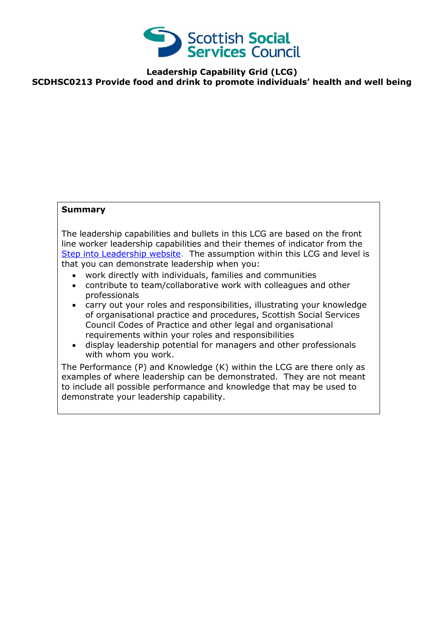

**Leadership Capability Grid (LCG) SCDHSC0213 Provide food and drink to promote individuals' health and well being**

## **Summary**

The leadership capabilities and bullets in this LCG are based on the front line worker leadership capabilities and their themes of indicator from the [Step into Leadership website.](http://www.stepintoleadership.info/) The assumption within this LCG and level is that you can demonstrate leadership when you:

- work directly with individuals, families and communities
- contribute to team/collaborative work with colleagues and other professionals
- carry out your roles and responsibilities, illustrating your knowledge of organisational practice and procedures, Scottish Social Services Council Codes of Practice and other legal and organisational requirements within your roles and responsibilities
- display leadership potential for managers and other professionals with whom you work.

The Performance (P) and Knowledge (K) within the LCG are there only as examples of where leadership can be demonstrated. They are not meant to include all possible performance and knowledge that may be used to demonstrate your leadership capability.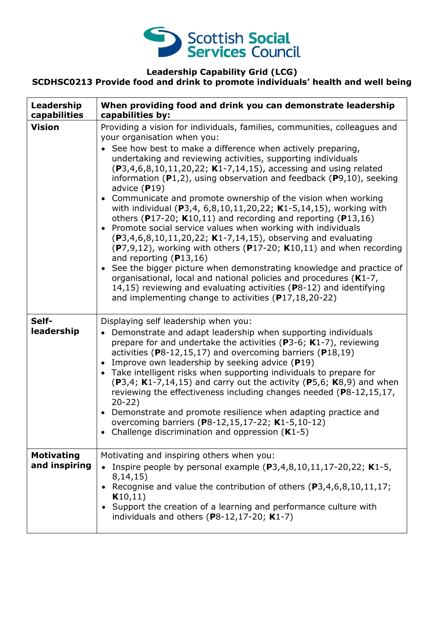

#### **Leadership Capability Grid (LCG)**

### **SCDHSC0213 Provide food and drink to promote individuals' health and well being**

| Leadership<br>capabilities         | When providing food and drink you can demonstrate leadership<br>capabilities by:                                                                                                                                                                                                                                                                                                                                                                                                                                                                                                                                                                                                                                                                                                                                                                                                                                                                                                                                                                                                                                                                      |
|------------------------------------|-------------------------------------------------------------------------------------------------------------------------------------------------------------------------------------------------------------------------------------------------------------------------------------------------------------------------------------------------------------------------------------------------------------------------------------------------------------------------------------------------------------------------------------------------------------------------------------------------------------------------------------------------------------------------------------------------------------------------------------------------------------------------------------------------------------------------------------------------------------------------------------------------------------------------------------------------------------------------------------------------------------------------------------------------------------------------------------------------------------------------------------------------------|
| <b>Vision</b>                      | Providing a vision for individuals, families, communities, colleagues and<br>your organisation when you:<br>See how best to make a difference when actively preparing,<br>undertaking and reviewing activities, supporting individuals<br>$(P3, 4, 6, 8, 10, 11, 20, 22; K1-7, 14, 15)$ , accessing and using related<br>information $(P1,2)$ , using observation and feedback $(P9,10)$ , seeking<br>advice $(P19)$<br>• Communicate and promote ownership of the vision when working<br>with individual (P3,4, 6,8,10,11,20,22; K1-5,14,15), working with<br>others (P17-20; $K10,11$ ) and recording and reporting (P13,16)<br>• Promote social service values when working with individuals<br>(P3,4,6,8,10,11,20,22; K1-7,14,15), observing and evaluating<br>$(P7, 9, 12)$ , working with others $(P17-20; K10, 11)$ and when recording<br>and reporting $(P13,16)$<br>• See the bigger picture when demonstrating knowledge and practice of<br>organisational, local and national policies and procedures (K1-7,<br>14,15) reviewing and evaluating activities (P8-12) and identifying<br>and implementing change to activities (P17,18,20-22) |
| Self-<br>leadership                | Displaying self leadership when you:<br>• Demonstrate and adapt leadership when supporting individuals<br>prepare for and undertake the activities ( $P3-6$ ; K1-7), reviewing<br>activities ( $P8-12,15,17$ ) and overcoming barriers ( $P18,19$ )<br>Improve own leadership by seeking advice (P19)<br>• Take intelligent risks when supporting individuals to prepare for<br>$(P3,4; K1-7,14,15)$ and carry out the activity $(P5,6; K8,9)$ and when<br>reviewing the effectiveness including changes needed (P8-12,15,17,<br>$20-22)$<br>• Demonstrate and promote resilience when adapting practice and<br>overcoming barriers (P8-12,15,17-22; K1-5,10-12)<br>Challenge discrimination and oppression $(K1-5)$                                                                                                                                                                                                                                                                                                                                                                                                                                  |
| <b>Motivating</b><br>and inspiring | Motivating and inspiring others when you:<br>Inspire people by personal example $(P3, 4, 8, 10, 11, 17 - 20, 22; K1 - 5,$<br>8,14,15)<br>Recognise and value the contribution of others (P3,4,6,8,10,11,17;<br>K10,11)<br>• Support the creation of a learning and performance culture with<br>individuals and others $(P8-12, 17-20; K1-7)$                                                                                                                                                                                                                                                                                                                                                                                                                                                                                                                                                                                                                                                                                                                                                                                                          |